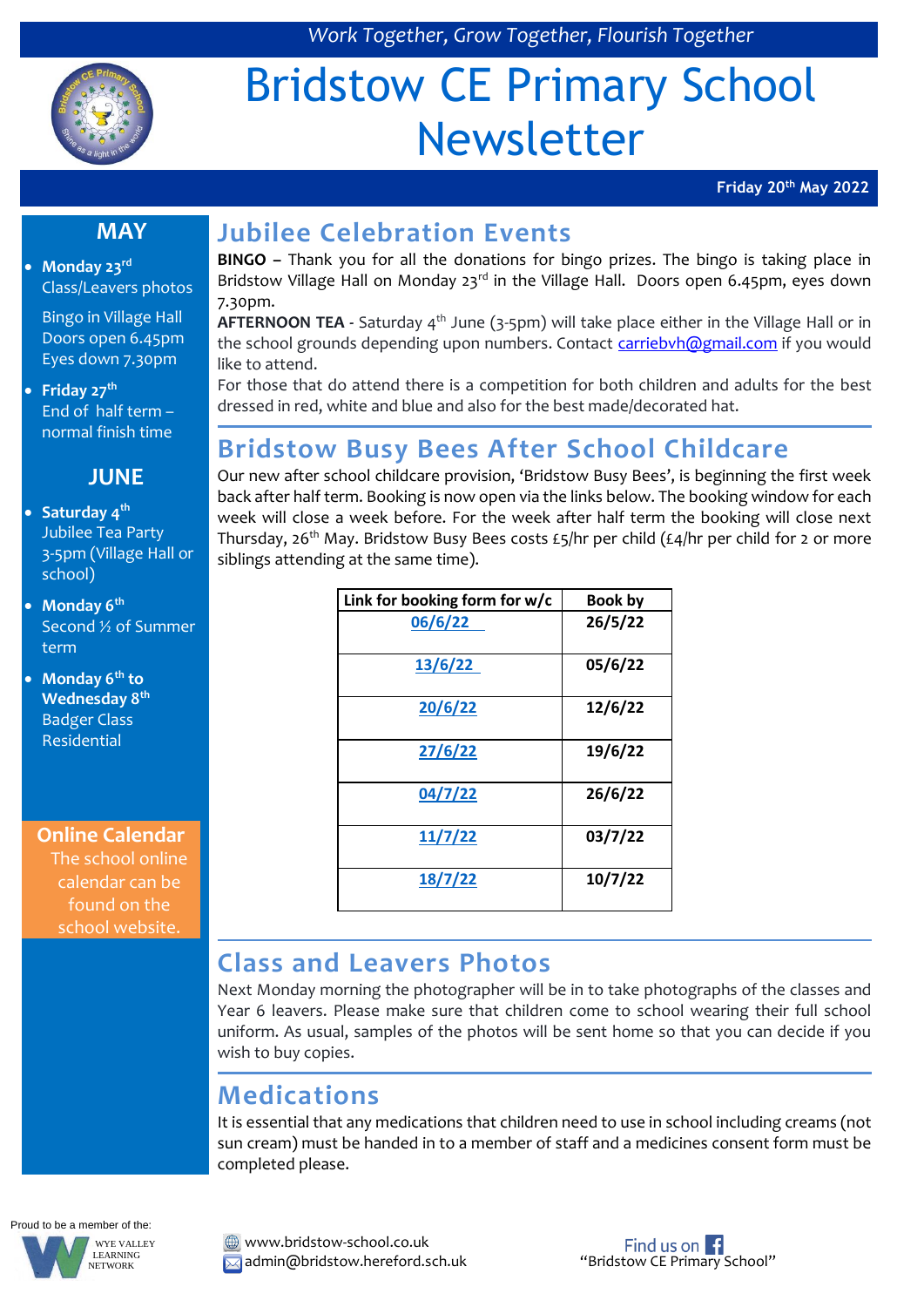

# Bridstow CE Primary School Newsletter

**Friday 20th May 2022**

#### **MAY**

 **Monday 23rd** Class/Leavers photos

Bingo in Village Hall Doors open 6.45pm Eyes down 7.30pm

 **Friday 27th** End of half term – normal finish time

#### **JUNE**

- **Saturday 4th** Jubilee Tea Party 3-5pm (Village Hall or school)
- **Monday 6th** Second ½ of Summer term

 **Monday 6th to Wednesday 8th** Badger Class Residential

**Online Calendar** The school online calendar can be found on the school website.

# **Jubilee Celebration Events**

**BINGO –** Thank you for all the donations for bingo prizes. The bingo is taking place in Bridstow Village Hall on Monday 23<sup>rd</sup> in the Village Hall. Doors open 6.45pm, eyes down 7.30pm.

AFTERNOON TEA - Saturday 4<sup>th</sup> June (3-5pm) will take place either in the Village Hall or in the school grounds depending upon numbers. Contact [carriebvh@gmail.com](mailto:carriebvh@gmail.com) if you would like to attend.

For those that do attend there is a competition for both children and adults for the best dressed in red, white and blue and also for the best made/decorated hat.

# **Bridstow Busy Bees After School Childcare**

Our new after school childcare provision, 'Bridstow Busy Bees', is beginning the first week back after half term. Booking is now open via the links below. The booking window for each week will close a week before. For the week after half term the booking will close next Thursday, 26<sup>th</sup> May. Bridstow Busy Bees costs £5/hr per child (£4/hr per child for 2 or more siblings attending at the same time).

| Link for booking form for w/c | <b>Book by</b> |
|-------------------------------|----------------|
| 06/6/22                       | 26/5/22        |
| 13/6/22                       | 05/6/22        |
| 20/6/22                       | 12/6/22        |
| 27/6/22                       | 19/6/22        |
| 04/7/22                       | 26/6/22        |
| 11/7/22                       | 03/7/22        |
| 18/7/22                       | 10/7/22        |

#### **Class and Leavers Photos**

Next Monday morning the photographer will be in to take photographs of the classes and Year 6 leavers. Please make sure that children come to school wearing their full school uniform. As usual, samples of the photos will be sent home so that you can decide if you wish to buy copies.

## **Medications**

It is essential that any medications that children need to use in school including creams (not sun cream) must be handed in to a member of staff and a medicines consent form must be completed please.

Proud to be a member of the: WYE VALLEY